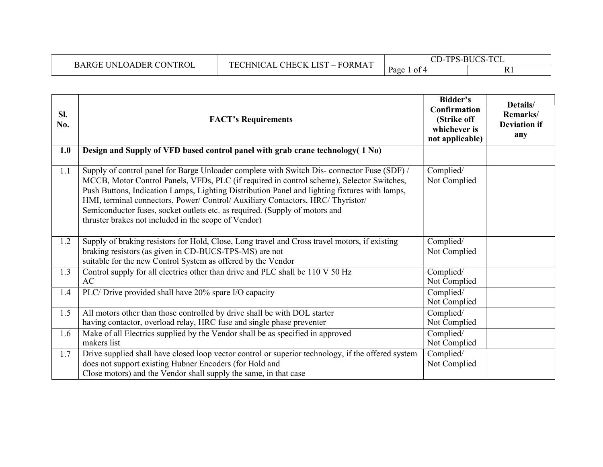| --<br>∩תי<br>ON.         | $\overline{1}$<br>ר דמי<br>"ORMA<br>∼нъ.<br><b>HNI</b><br>н.<br>$-$<br>$\sim$ $\sim$ $\sim$ | T <sub>0</sub><br>⌒⊤<br><b>DITOO</b><br>TDC<br>.<br>$\sim$ $\sim$ |              |  |
|--------------------------|---------------------------------------------------------------------------------------------|-------------------------------------------------------------------|--------------|--|
| DER<br><b>ROL</b><br>ב נ |                                                                                             | Page<br>$\Omega$ of 4                                             | v<br>n.<br>. |  |

| SI.<br>No. | <b>FACT's Requirements</b>                                                                                                                                                                                                                                                                                                                                                                                                                                                                                         | Bidder's<br>Confirmation<br>(Strike off<br>whichever is<br>not applicable) | Details/<br>Remarks/<br><b>Deviation if</b><br>any |
|------------|--------------------------------------------------------------------------------------------------------------------------------------------------------------------------------------------------------------------------------------------------------------------------------------------------------------------------------------------------------------------------------------------------------------------------------------------------------------------------------------------------------------------|----------------------------------------------------------------------------|----------------------------------------------------|
| 1.0        | Design and Supply of VFD based control panel with grab crane technology (1 No)                                                                                                                                                                                                                                                                                                                                                                                                                                     |                                                                            |                                                    |
| 1.1        | Supply of control panel for Barge Unloader complete with Switch Dis-connector Fuse (SDF) /<br>MCCB, Motor Control Panels, VFDs, PLC (if required in control scheme), Selector Switches,<br>Push Buttons, Indication Lamps, Lighting Distribution Panel and lighting fixtures with lamps,<br>HMI, terminal connectors, Power/ Control/ Auxiliary Contactors, HRC/ Thyristor/<br>Semiconductor fuses, socket outlets etc. as required. (Supply of motors and<br>thruster brakes not included in the scope of Vendor) | Complied/<br>Not Complied                                                  |                                                    |
| 1.2        | Supply of braking resistors for Hold, Close, Long travel and Cross travel motors, if existing<br>braking resistors (as given in CD-BUCS-TPS-MS) are not<br>suitable for the new Control System as offered by the Vendor                                                                                                                                                                                                                                                                                            | Complied/<br>Not Complied                                                  |                                                    |
| 1.3        | Control supply for all electrics other than drive and PLC shall be 110 V 50 Hz<br>AC                                                                                                                                                                                                                                                                                                                                                                                                                               | Complied/<br>Not Complied                                                  |                                                    |
| 1.4        | PLC/Drive provided shall have 20% spare I/O capacity                                                                                                                                                                                                                                                                                                                                                                                                                                                               | Complied/<br>Not Complied                                                  |                                                    |
| 1.5        | All motors other than those controlled by drive shall be with DOL starter<br>having contactor, overload relay, HRC fuse and single phase preventer                                                                                                                                                                                                                                                                                                                                                                 | Complied/<br>Not Complied                                                  |                                                    |
| 1.6        | Make of all Electrics supplied by the Vendor shall be as specified in approved<br>makers list                                                                                                                                                                                                                                                                                                                                                                                                                      | Complied/<br>Not Complied                                                  |                                                    |
| 1.7        | Drive supplied shall have closed loop vector control or superior technology, if the offered system<br>does not support existing Hubner Encoders (for Hold and<br>Close motors) and the Vendor shall supply the same, in that case                                                                                                                                                                                                                                                                                  | Complied/<br>Not Complied                                                  |                                                    |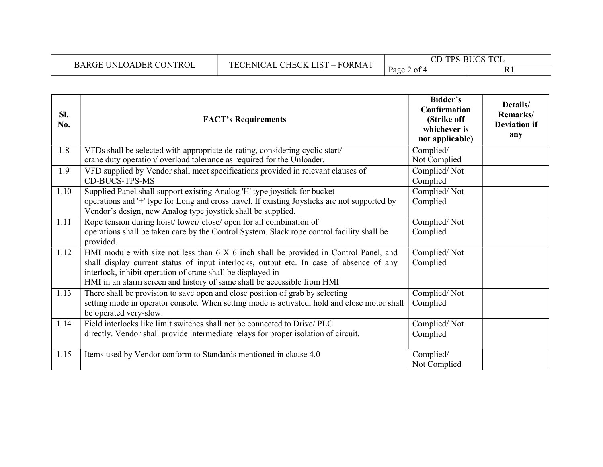| BARGE UNLOADER CONTROL |
|------------------------|
|                        |

| SI.<br>No. | <b>FACT's Requirements</b>                                                                                                                                                                                                                                                                                                 | Bidder's<br><b>Confirmation</b><br>(Strike off<br>whichever is<br>not applicable) | Details/<br>Remarks/<br><b>Deviation if</b><br>any |
|------------|----------------------------------------------------------------------------------------------------------------------------------------------------------------------------------------------------------------------------------------------------------------------------------------------------------------------------|-----------------------------------------------------------------------------------|----------------------------------------------------|
| 1.8        | VFDs shall be selected with appropriate de-rating, considering cyclic start/<br>crane duty operation/ overload tolerance as required for the Unloader.                                                                                                                                                                     | Complied/<br>Not Complied                                                         |                                                    |
| 1.9        | VFD supplied by Vendor shall meet specifications provided in relevant clauses of<br><b>CD-BUCS-TPS-MS</b>                                                                                                                                                                                                                  | Complied/Not<br>Complied                                                          |                                                    |
| 1.10       | Supplied Panel shall support existing Analog 'H' type joystick for bucket<br>operations and '+' type for Long and cross travel. If existing Joysticks are not supported by<br>Vendor's design, new Analog type joystick shall be supplied.                                                                                 | Complied/Not<br>Complied                                                          |                                                    |
| 1.11       | Rope tension during hoist/lower/close/open for all combination of<br>operations shall be taken care by the Control System. Slack rope control facility shall be<br>provided.                                                                                                                                               | Complied/Not<br>Complied                                                          |                                                    |
| 1.12       | HMI module with size not less than 6 X 6 inch shall be provided in Control Panel, and<br>shall display current status of input interlocks, output etc. In case of absence of any<br>interlock, inhibit operation of crane shall be displayed in<br>HMI in an alarm screen and history of same shall be accessible from HMI | Complied/Not<br>Complied                                                          |                                                    |
| 1.13       | There shall be provision to save open and close position of grab by selecting<br>setting mode in operator console. When setting mode is activated, hold and close motor shall<br>be operated very-slow.                                                                                                                    | Complied/Not<br>Complied                                                          |                                                    |
| 1.14       | Field interlocks like limit switches shall not be connected to Drive/PLC<br>directly. Vendor shall provide intermediate relays for proper isolation of circuit.                                                                                                                                                            | Complied/Not<br>Complied                                                          |                                                    |
| 1.15       | Items used by Vendor conform to Standards mentioned in clause 4.0                                                                                                                                                                                                                                                          | Complied/<br>Not Complied                                                         |                                                    |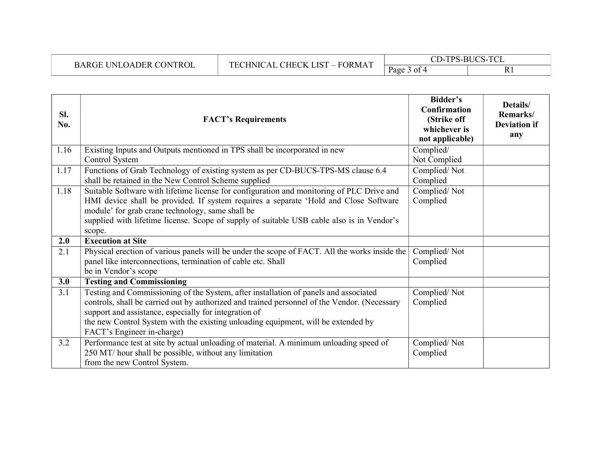| <b>BARGE UNLOADER CONTROL</b> | CHECK LIST<br><b>FORMAT</b><br><b>TRT</b><br>HNIC. | -TPS-BUCS-TCL<br>$\cap$ n<br>.<br>رر |      |
|-------------------------------|----------------------------------------------------|--------------------------------------|------|
|                               | $\sim$                                             | Page<br>3 of                         | 17 T |

| SI.<br>No. | <b>FACT's Requirements</b>                                                                                                                                                                                                                                                                                                                                       | Bidder's<br><b>Confirmation</b><br>(Strike off<br>whichever is<br>not applicable) | Details/<br>Remarks/<br><b>Deviation if</b><br>any |
|------------|------------------------------------------------------------------------------------------------------------------------------------------------------------------------------------------------------------------------------------------------------------------------------------------------------------------------------------------------------------------|-----------------------------------------------------------------------------------|----------------------------------------------------|
| 1.16       | Existing Inputs and Outputs mentioned in TPS shall be incorporated in new<br>Control System                                                                                                                                                                                                                                                                      | Complied/<br>Not Complied                                                         |                                                    |
| 1.17       | Functions of Grab Technology of existing system as per CD-BUCS-TPS-MS clause 6.4<br>shall be retained in the New Control Scheme supplied                                                                                                                                                                                                                         | Complied/Not<br>Complied                                                          |                                                    |
| 1.18       | Suitable Software with lifetime license for configuration and monitoring of PLC Drive and<br>HMI device shall be provided. If system requires a separate 'Hold and Close Software<br>module' for grab crane technology, same shall be<br>supplied with lifetime license. Scope of supply of suitable USB cable also is in Vendor's<br>scope.                     | Complied/Not<br>Complied                                                          |                                                    |
| 2.0        | <b>Execution at Site</b>                                                                                                                                                                                                                                                                                                                                         |                                                                                   |                                                    |
| 2.1        | Physical erection of various panels will be under the scope of FACT. All the works inside the<br>panel like interconnections, termination of cable etc. Shall<br>be in Vendor's scope                                                                                                                                                                            | Complied/Not<br>Complied                                                          |                                                    |
| 3.0        | <b>Testing and Commissioning</b>                                                                                                                                                                                                                                                                                                                                 |                                                                                   |                                                    |
| 3.1        | Testing and Commissioning of the System, after installation of panels and associated<br>controls, shall be carried out by authorized and trained personnel of the Vendor. (Necessary<br>support and assistance, especially for integration of<br>the new Control System with the existing unloading equipment, will be extended by<br>FACT's Engineer in-charge) | Complied/Not<br>Complied                                                          |                                                    |
| 3.2        | Performance test at site by actual unloading of material. A minimum unloading speed of<br>250 MT/ hour shall be possible, without any limitation<br>from the new Control System.                                                                                                                                                                                 | Complied/Not<br>Complied                                                          |                                                    |